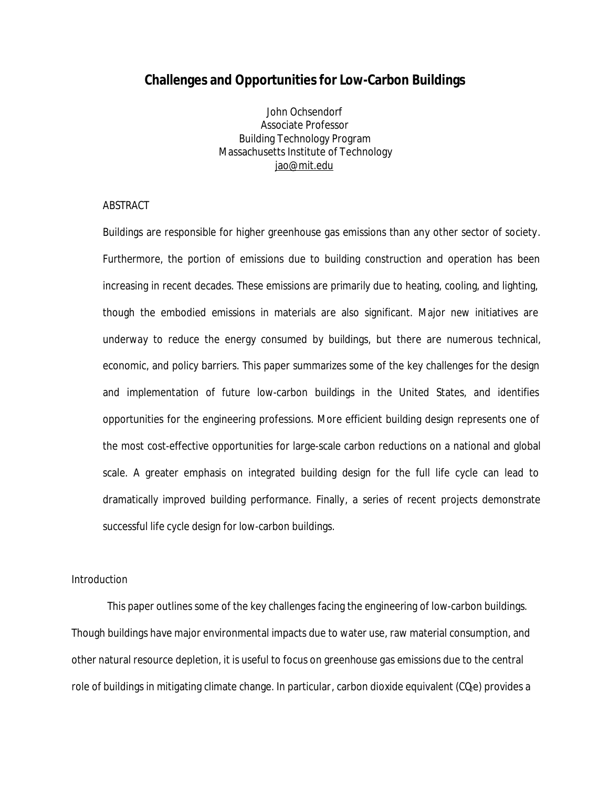# **Challenges and Opportunities for Low-Carbon Buildings**

John Ochsendorf Associate Professor Building Technology Program Massachusetts Institute of Technology [jao@mit.edu](mailto:jao@mit.edu)

#### ABSTRACT

Buildings are responsible for higher greenhouse gas emissions than any other sector of society. Furthermore, the portion of emissions due to building construction and operation has been increasing in recent decades. These emissions are primarily due to heating, cooling, and lighting, though the embodied emissions in materials are also significant. Major new initiatives are underway to reduce the energy consumed by buildings, but there are numerous technical, economic, and policy barriers. This paper summarizes some of the key challenges for the design and implementation of future low-carbon buildings in the United States, and identifies opportunities for the engineering professions. More efficient building design represents one of the most cost-effective opportunities for large-scale carbon reductions on a national and global scale. A greater emphasis on integrated building design for the full life cycle can lead to dramatically improved building performance. Finally, a series of recent projects demonstrate successful life cycle design for low-carbon buildings.

### **Introduction**

This paper outlines some of the key challenges facing the engineering of low-carbon buildings. Though buildings have major environmental impacts due to water use, raw material consumption, and other natural resource depletion, it is useful to focus on greenhouse gas emissions due to the central role of buildings in mitigating climate change. In particular, carbon dioxide equivalent (CQe) provides a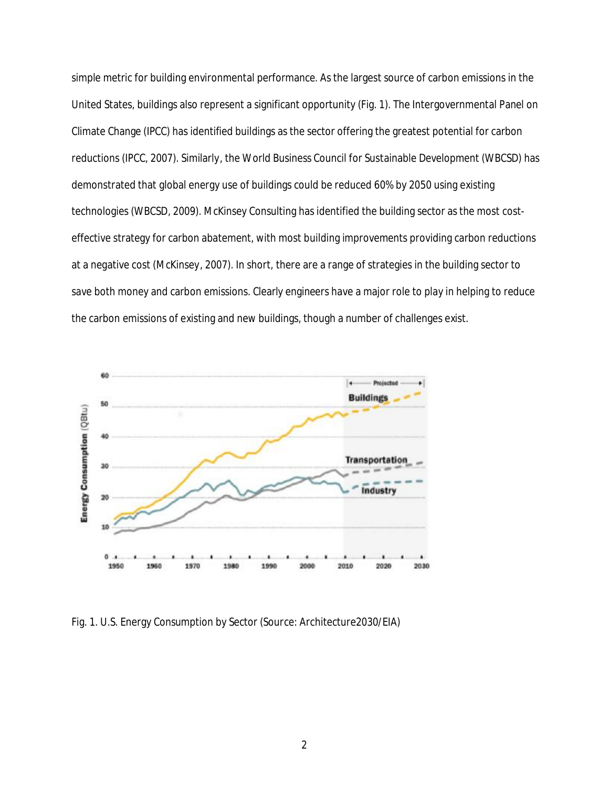simple metric for building environmental performance. As the largest source of carbon emissions in the United States, buildings also represent a significant opportunity (Fig. 1). The Intergovernmental Panel on Climate Change (IPCC) has identified buildings as the sector offering the greatest potential for carbon reductions (IPCC, 2007). Similarly, the World Business Council for Sustainable Development (WBCSD) has demonstrated that global energy use of buildings could be reduced 60% by 2050 using existing technologies (WBCSD, 2009). McKinsey Consulting has identified the building sector as the most costeffective strategy for carbon abatement, with most building improvements providing carbon reductions at a negative cost (McKinsey, 2007). In short, there are a range of strategies in the building sector to save both money and carbon emissions. Clearly engineers have a major role to play in helping to reduce the carbon emissions of existing and new buildings, though a number of challenges exist.



Fig. 1. U.S. Energy Consumption by Sector (Source: Architecture2030/EIA)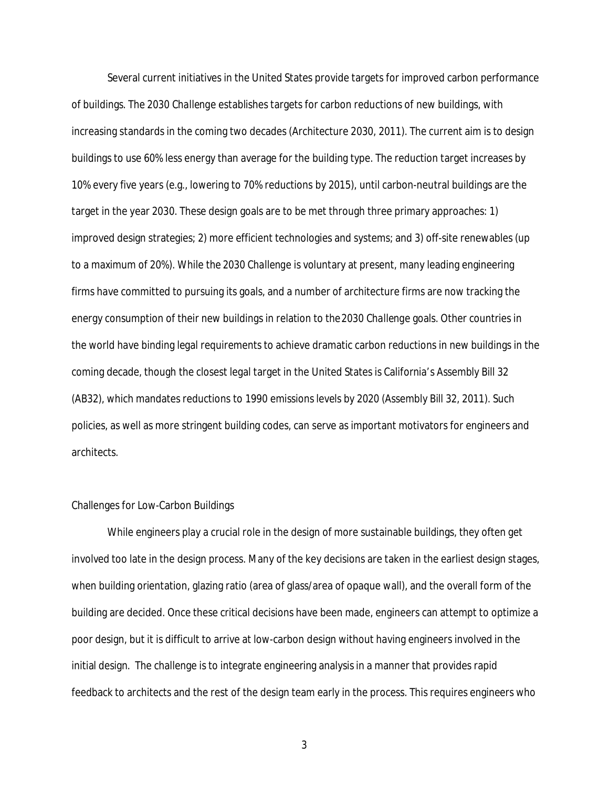Several current initiatives in the United States provide targets for improved carbon performance of buildings. The *2030 Challenge* establishes targets for carbon reductions of new buildings, with increasing standards in the coming two decades (Architecture 2030, 2011). The current aim is to design buildings to use 60% less energy than average for the building type. The reduction target increases by 10% every five years (e.g., lowering to 70% reductions by 2015), until carbon-neutral buildings are the target in the year 2030. These design goals are to be met through three primary approaches: 1) improved design strategies; 2) more efficient technologies and systems; and 3) off-site renewables (up to a maximum of 20%). While the *2030 Challenge* is voluntary at present, many leading engineering firms have committed to pursuing its goals, and a number of architecture firms are now tracking the energy consumption of their new buildings in relation to the *2030 Challenge* goals. Other countries in the world have binding legal requirements to achieve dramatic carbon reductions in new buildings in the coming decade, though the closest legal target in the United States is California's Assembly Bill 32 (AB32), which mandates reductions to 1990 emissions levels by 2020 (Assembly Bill 32, 2011). Such policies, as well as more stringent building codes, can serve as important motivators for engineers and architects.

#### Challenges for Low-Carbon Buildings

While engineers play a crucial role in the design of more sustainable buildings, they often get involved too late in the design process. Many of the key decisions are taken in the earliest design stages, when building orientation, glazing ratio (area of glass/area of opaque wall), and the overall form of the building are decided. Once these critical decisions have been made, engineers can attempt to optimize a poor design, but it is difficult to arrive at low-carbon design without having engineers involved in the initial design. The challenge is to integrate engineering analysis in a manner that provides rapid feedback to architects and the rest of the design team early in the process. This requires engineers who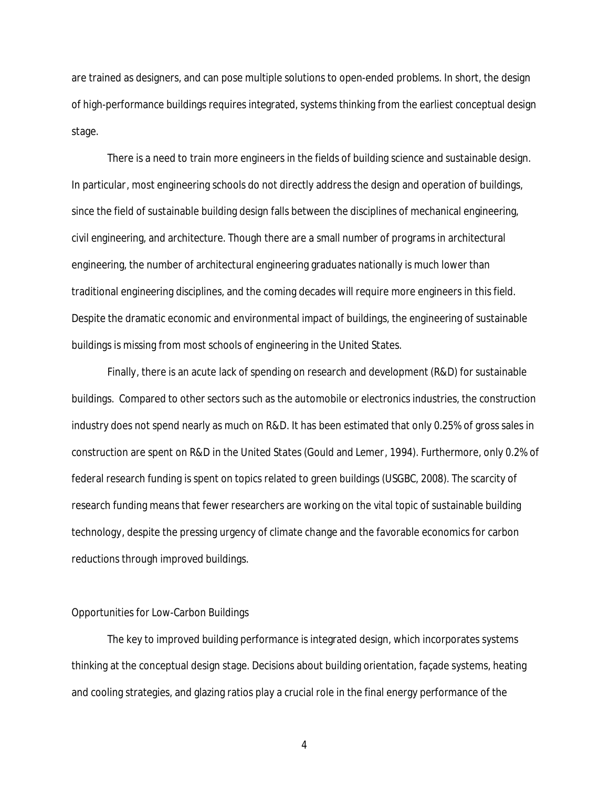are trained as designers, and can pose multiple solutions to open-ended problems. In short, the design of high-performance buildings requires integrated, systems thinking from the earliest conceptual design stage.

There is a need to train more engineers in the fields of building science and sustainable design. In particular, most engineering schools do not directly address the design and operation of buildings, since the field of sustainable building design falls between the disciplines of mechanical engineering, civil engineering, and architecture. Though there are a small number of programs in architectural engineering, the number of architectural engineering graduates nationally is much lower than traditional engineering disciplines, and the coming decades will require more engineers in this field. Despite the dramatic economic and environmental impact of buildings, the engineering of sustainable buildings is missing from most schools of engineering in the United States.

Finally, there is an acute lack of spending on research and development (R&D) for sustainable buildings. Compared to other sectors such as the automobile or electronics industries, the construction industry does not spend nearly as much on R&D. It has been estimated that only 0.25% of gross sales in construction are spent on R&D in the United States (Gould and Lemer, 1994). Furthermore, only 0.2% of federal research funding is spent on topics related to green buildings (USGBC, 2008). The scarcity of research funding means that fewer researchers are working on the vital topic of sustainable building technology, despite the pressing urgency of climate change and the favorable economics for carbon reductions through improved buildings.

#### Opportunities for Low-Carbon Buildings

The key to improved building performance is integrated design, which incorporates systems thinking at the conceptual design stage. Decisions about building orientation, façade systems, heating and cooling strategies, and glazing ratios play a crucial role in the final energy performance of the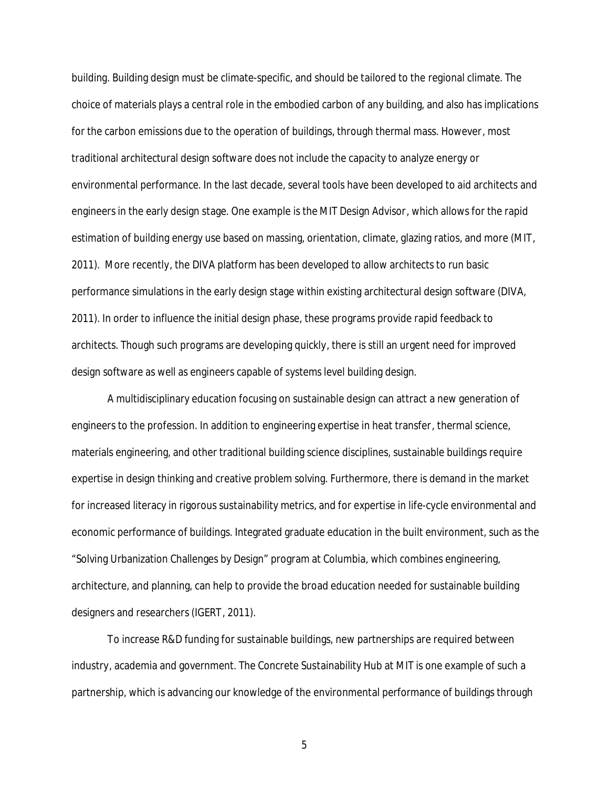building. Building design must be climate-specific, and should be tailored to the regional climate. The choice of materials plays a central role in the embodied carbon of any building, and also has implications for the carbon emissions due to the operation of buildings, through thermal mass. However, most traditional architectural design software does not include the capacity to analyze energy or environmental performance. In the last decade, several tools have been developed to aid architects and engineers in the early design stage. One example is the MIT Design Advisor, which allows for the rapid estimation of building energy use based on massing, orientation, climate, glazing ratios, and more (MIT, 2011). More recently, the DIVA platform has been developed to allow architects to run basic performance simulations in the early design stage within existing architectural design software (DIVA, 2011). In order to influence the initial design phase, these programs provide rapid feedback to architects. Though such programs are developing quickly, there is still an urgent need for improved design software as well as engineers capable of systems level building design.

A multidisciplinary education focusing on sustainable design can attract a new generation of engineers to the profession. In addition to engineering expertise in heat transfer, thermal science, materials engineering, and other traditional building science disciplines, sustainable buildings require expertise in design thinking and creative problem solving. Furthermore, there is demand in the market for increased literacy in rigorous sustainability metrics, and for expertise in life-cycle environmental and economic performance of buildings. Integrated graduate education in the built environment, such as the "Solving Urbanization Challenges by Design" program at Columbia, which combines engineering, architecture, and planning, can help to provide the broad education needed for sustainable building designers and researchers (IGERT, 2011).

To increase R&D funding for sustainable buildings, new partnerships are required between industry, academia and government. The Concrete Sustainability Hub at MIT is one example of such a partnership, which is advancing our knowledge of the environmental performance of buildings through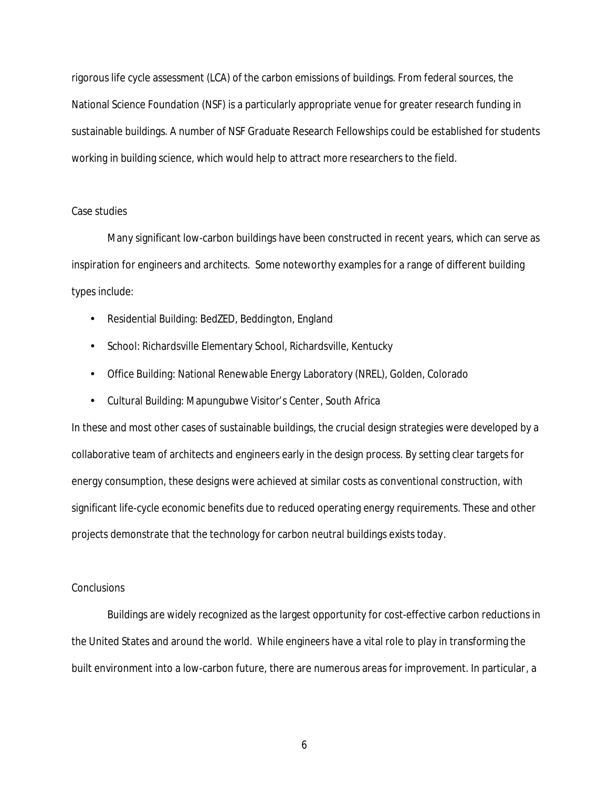rigorous life cycle assessment (LCA) of the carbon emissions of buildings. From federal sources, the National Science Foundation (NSF) is a particularly appropriate venue for greater research funding in sustainable buildings. A number of NSF Graduate Research Fellowships could be established for students working in building science, which would help to attract more researchers to the field.

#### Case studies

Many significant low-carbon buildings have been constructed in recent years, which can serve as inspiration for engineers and architects. Some noteworthy examples for a range of different building types include:

- Residential Building: BedZED, Beddington, England
- School: Richardsville Elementary School, Richardsville, Kentucky
- Office Building: National Renewable Energy Laboratory (NREL), Golden, Colorado
- Cultural Building: Mapungubwe Visitor's Center, South Africa

In these and most other cases of sustainable buildings, the crucial design strategies were developed by a collaborative team of architects and engineers early in the design process. By setting clear targets for energy consumption, these designs were achieved at similar costs as conventional construction, with significant life-cycle economic benefits due to reduced operating energy requirements. These and other projects demonstrate that the technology for carbon neutral buildings exists today.

#### **Conclusions**

Buildings are widely recognized as the largest opportunity for cost-effective carbon reductions in the United States and around the world. While engineers have a vital role to play in transforming the built environment into a low-carbon future, there are numerous areas for improvement. In particular, a